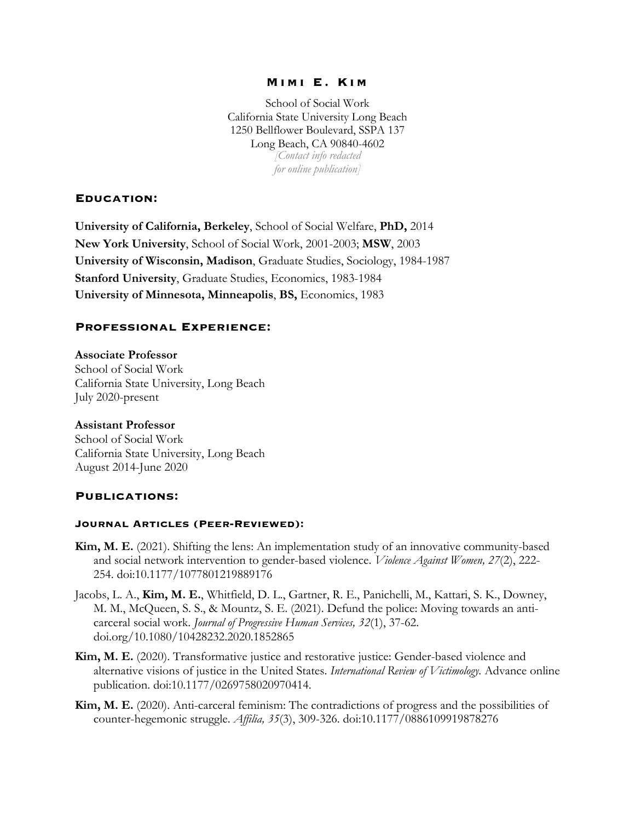## **Mimi E. Kim**

School of Social Work California State University Long Beach 1250 Bellflower Boulevard, SSPA 137 Long Beach, CA 90840-4602 *[Contact info redacted for online publication]*

# **Education:**

**University of California, Berkeley**, School of Social Welfare, **PhD,** 2014 **New York University**, School of Social Work, 2001-2003; **MSW**, 2003 **University of Wisconsin, Madison**, Graduate Studies, Sociology, 1984-1987 **Stanford University**, Graduate Studies, Economics, 1983-1984 **University of Minnesota, Minneapolis**, **BS,** Economics, 1983

## **Professional Experience:**

#### **Associate Professor**

School of Social Work California State University, Long Beach July 2020-present

### **Assistant Professor**

School of Social Work California State University, Long Beach August 2014-June 2020

### **Publications:**

### **Journal Articles (Peer-Reviewed):**

- **Kim, M. E.** (2021). Shifting the lens: An implementation study of an innovative community-based and social network intervention to gender-based violence. *Violence Against Women, 27*(2), 222- 254. doi:10.1177/1077801219889176
- Jacobs, L. A., **Kim, M. E.**, Whitfield, D. L., Gartner, R. E., Panichelli, M., Kattari, S. K., Downey, M. M., McQueen, S. S., & Mountz, S. E. (2021). Defund the police: Moving towards an anticarceral social work. *Journal of Progressive Human Services, 32*(1), 37-62. doi.org/10.1080/10428232.2020.1852865
- **Kim, M. E.** (2020). Transformative justice and restorative justice: Gender-based violence and alternative visions of justice in the United States. *International Review of Victimology.* Advance online publication. doi:10.1177/0269758020970414.
- **Kim, M. E.** (2020). Anti-carceral feminism: The contradictions of progress and the possibilities of counter-hegemonic struggle. *Affilia, 35*(3), 309-326. doi:10.1177/0886109919878276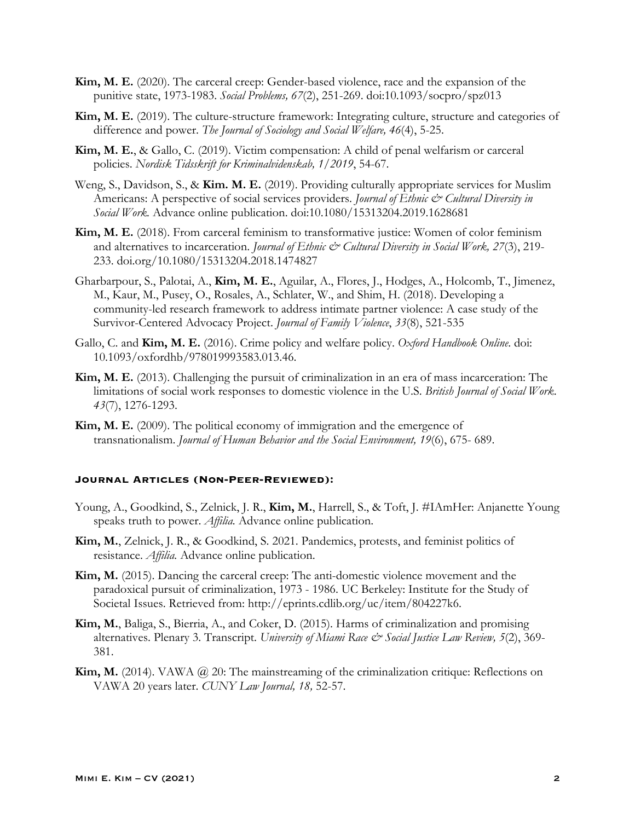- **Kim, M. E.** (2020). The carceral creep: Gender-based violence, race and the expansion of the punitive state, 1973-1983. *Social Problems, 67*(2), 251-269. doi:10.1093/socpro/spz013
- **Kim, M. E.** (2019). The culture-structure framework: Integrating culture, structure and categories of difference and power. *The Journal of Sociology and Social Welfare, 46*(4), 5-25.
- **Kim, M. E.**, & Gallo, C. (2019). Victim compensation: A child of penal welfarism or carceral policies. *Nordisk Tidsskrift for Kriminalvidenskab, 1*/*2019*, 54-67.
- Weng, S., Davidson, S., & **Kim. M. E.** (2019). Providing culturally appropriate services for Muslim Americans: A perspective of social services providers. *Journal of Ethnic & Cultural Diversity in Social Work.* Advance online publication. doi:10.1080/15313204.2019.1628681
- **Kim, M. E.** (2018). From carceral feminism to transformative justice: Women of color feminism and alternatives to incarceration. *Journal of Ethnic & Cultural Diversity in Social Work*, 27(3), 219-233. doi.org/10.1080/15313204.2018.1474827
- Gharbarpour, S., Palotai, A., **Kim, M. E.**, Aguilar, A., Flores, J., Hodges, A., Holcomb, T., Jimenez, M., Kaur, M., Pusey, O., Rosales, A., Schlater, W., and Shim, H. (2018). Developing a community-led research framework to address intimate partner violence: A case study of the Survivor-Centered Advocacy Project. *Journal of Family Violence*, *33*(8), 521-535
- Gallo, C. and **Kim, M. E.** (2016). Crime policy and welfare policy. *Oxford Handbook Online*. doi: 10.1093/oxfordhb/978019993583.013.46.
- **Kim, M. E.** (2013). Challenging the pursuit of criminalization in an era of mass incarceration: The limitations of social work responses to domestic violence in the U.S. *British Journal of Social Work*. *43*(7), 1276-1293.
- **Kim, M. E.** (2009). The political economy of immigration and the emergence of transnationalism. *Journal of Human Behavior and the Social Environment, 19*(6), 675- 689.

# **Journal Articles (Non-Peer-Reviewed):**

- Young, A., Goodkind, S., Zelnick, J. R., **Kim, M.**, Harrell, S., & Toft, J. #IAmHer: Anjanette Young speaks truth to power. *Affilia.* Advance online publication.
- **Kim, M.**, Zelnick, J. R., & Goodkind, S. 2021. Pandemics, protests, and feminist politics of resistance. *Affilia.* Advance online publication.
- **Kim, M.** (2015). Dancing the carceral creep: The anti-domestic violence movement and the paradoxical pursuit of criminalization, 1973 - 1986. UC Berkeley: Institute for the Study of Societal Issues. Retrieved from: http://eprints.cdlib.org/uc/item/804227k6.
- **Kim, M.**, Baliga, S., Bierria, A., and Coker, D. (2015). Harms of criminalization and promising alternatives. Plenary 3. Transcript. *University of Miami Race & Social Justice Law Review, 5*(2), 369- 381.
- **Kim, M.** (2014). VAWA @ 20: The mainstreaming of the criminalization critique: Reflections on VAWA 20 years later. *CUNY Law Journal, 18,* 52-57.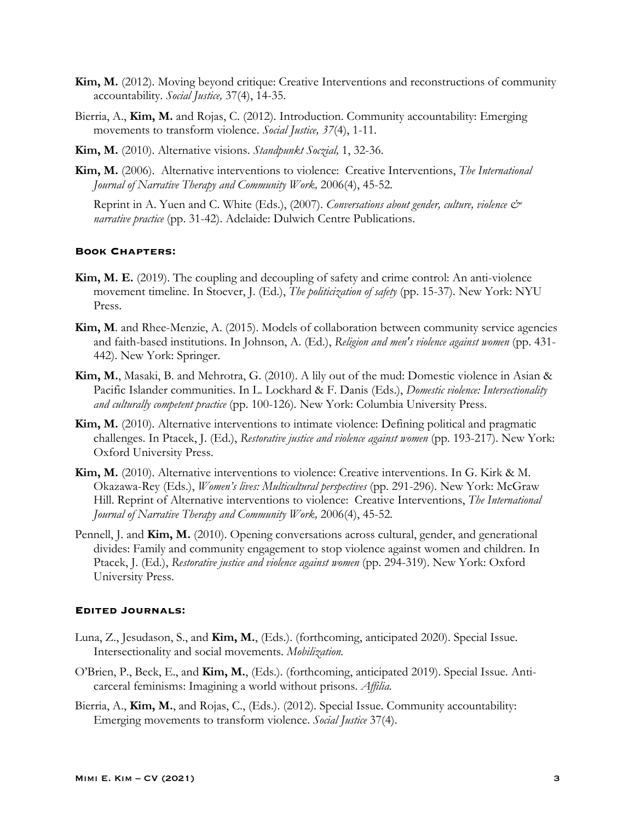- **Kim, M.** (2012). Moving beyond critique: Creative Interventions and reconstructions of community accountability. *Social Justice,* 37(4), 14-35.
- Bierria, A., **Kim, M.** and Rojas, C. (2012). Introduction. Community accountability: Emerging movements to transform violence. *Social Justice, 37*(4), 1-11.
- **Kim, M.** (2010). Alternative visions. *Standpunkt Soczial,* 1, 32-36.
- **Kim, M.** (2006). Alternative interventions to violence: Creative Interventions, *The International Journal of Narrative Therapy and Community Work,* 2006(4), 45-52*.*

Reprint in A. Yuen and C. White (Eds.), (2007). *Conversations about gender, culture, violence & narrative practice* (pp. 31-42). Adelaide: Dulwich Centre Publications.

#### **Book Chapters:**

- **Kim, M. E.** (2019). The coupling and decoupling of safety and crime control: An anti-violence movement timeline. In Stoever, J. (Ed.), *The politicization of safety* (pp. 15-37)*.* New York: NYU Press.
- **Kim, M**. and Rhee-Menzie, A. (2015). Models of collaboration between community service agencies and faith-based institutions. In Johnson, A. (Ed.), *Religion and men's violence against women* (pp. 431- 442). New York: Springer.
- **Kim, M.**, Masaki, B. and Mehrotra, G. (2010). A lily out of the mud: Domestic violence in Asian & Pacific Islander communities. In L. Lockhard & F. Danis (Eds.), *Domestic violence: Intersectionality and culturally competent practice* (pp. 100-126)*.* New York: Columbia University Press.
- **Kim, M.** (2010). Alternative interventions to intimate violence: Defining political and pragmatic challenges. In Ptacek, J. (Ed.), *Restorative justice and violence against women* (pp. 193-217). New York: Oxford University Press.
- **Kim, M.** (2010). Alternative interventions to violence: Creative interventions. In G. Kirk & M. Okazawa-Rey (Eds.), *Women's lives: Multicultural perspectives* (pp. 291-296)*.* New York: McGraw Hill. Reprint of Alternative interventions to violence: Creative Interventions, *The International Journal of Narrative Therapy and Community Work,* 2006(4), 45-52*.*
- Pennell, J. and **Kim, M.** (2010). Opening conversations across cultural, gender, and generational divides: Family and community engagement to stop violence against women and children. In Ptacek, J. (Ed.), *Restorative justice and violence against women* (pp. 294-319). New York: Oxford University Press.

#### **Edited Journals:**

- Luna, Z., Jesudason, S., and **Kim, M.**, (Eds.). (forthcoming, anticipated 2020). Special Issue. Intersectionality and social movements. *Mobilization.*
- O'Brien, P., Beck, E., and **Kim, M.**, (Eds.). (forthcoming, anticipated 2019). Special Issue. Anticarceral feminisms: Imagining a world without prisons. *Affilia.*
- Bierria, A., **Kim, M.**, and Rojas, C., (Eds.). (2012). Special Issue. Community accountability: Emerging movements to transform violence. *Social Justice* 37(4).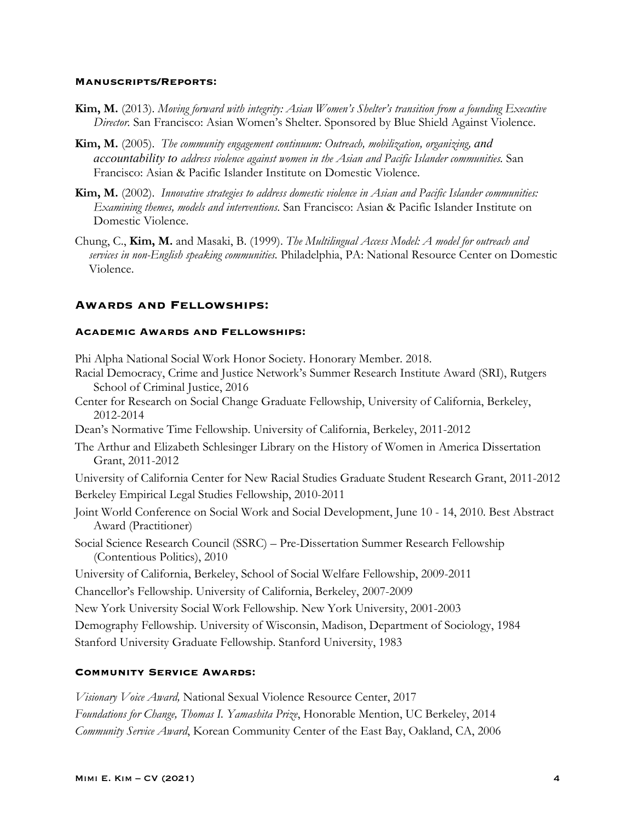#### **Manuscripts/Reports:**

- **Kim, M.** (2013). *Moving forward with integrity: Asian Women's Shelter's transition from a founding Executive Director.* San Francisco: Asian Women's Shelter. Sponsored by Blue Shield Against Violence.
- **Kim, M.** (2005). *The community engagement continuum: Outreach, mobilization, organizing, and accountability to address violence against women in the Asian and Pacific Islander communities.* San Francisco: Asian & Pacific Islander Institute on Domestic Violence.
- **Kim, M.** (2002). *Innovative strategies to address domestic violence in Asian and Pacific Islander communities: Examining themes, models and interventions.* San Francisco: Asian & Pacific Islander Institute on Domestic Violence.
- Chung, C., **Kim, M.** and Masaki, B. (1999). *The Multilingual Access Model: A model for outreach and services in non-English speaking communities.* Philadelphia, PA: National Resource Center on Domestic Violence.

## **Awards and Fellowships:**

### **Academic Awards and Fellowships:**

Phi Alpha National Social Work Honor Society. Honorary Member. 2018.

- Racial Democracy, Crime and Justice Network's Summer Research Institute Award (SRI), Rutgers School of Criminal Justice, 2016
- Center for Research on Social Change Graduate Fellowship, University of California, Berkeley, 2012-2014
- Dean's Normative Time Fellowship. University of California, Berkeley, 2011-2012
- The Arthur and Elizabeth Schlesinger Library on the History of Women in America Dissertation Grant, 2011-2012

University of California Center for New Racial Studies Graduate Student Research Grant, 2011-2012 Berkeley Empirical Legal Studies Fellowship, 2010-2011

- Joint World Conference on Social Work and Social Development, June 10 14, 2010. Best Abstract Award (Practitioner)
- Social Science Research Council (SSRC) Pre-Dissertation Summer Research Fellowship (Contentious Politics), 2010

University of California, Berkeley, School of Social Welfare Fellowship, 2009-2011

Chancellor's Fellowship. University of California, Berkeley, 2007-2009

New York University Social Work Fellowship. New York University, 2001-2003

Demography Fellowship. University of Wisconsin, Madison, Department of Sociology, 1984

Stanford University Graduate Fellowship. Stanford University, 1983

## **Community Service Awards:**

*Visionary Voice Award,* National Sexual Violence Resource Center, 2017 *Foundations for Change, Thomas I. Yamashita Prize*, Honorable Mention, UC Berkeley, 2014 *Community Service Award*, Korean Community Center of the East Bay, Oakland, CA, 2006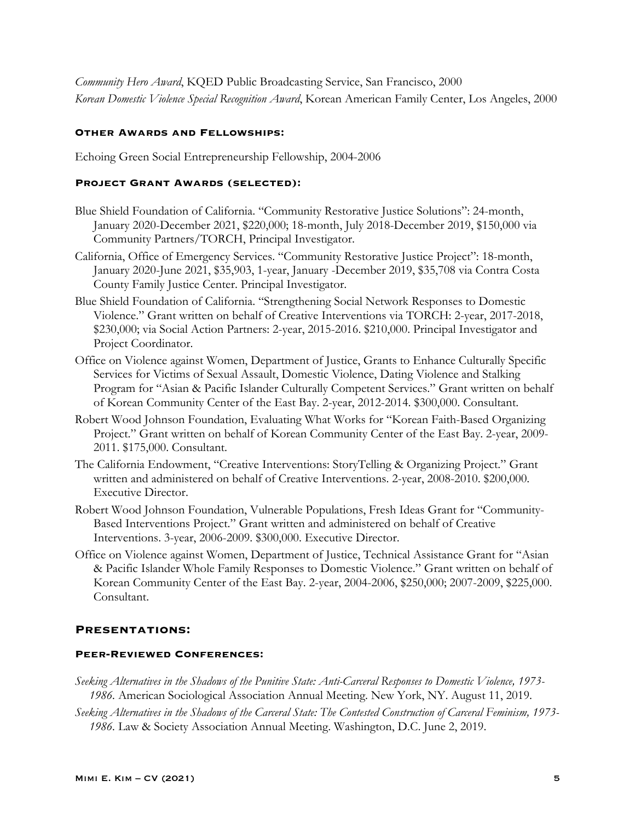*Community Hero Award*, KQED Public Broadcasting Service, San Francisco, 2000 *Korean Domestic Violence Special Recognition Award*, Korean American Family Center, Los Angeles, 2000

## **Other Awards and Fellowships:**

Echoing Green Social Entrepreneurship Fellowship, 2004-2006

### **Project Grant Awards (selected):**

- Blue Shield Foundation of California. "Community Restorative Justice Solutions": 24-month, January 2020-December 2021, \$220,000; 18-month, July 2018-December 2019, \$150,000 via Community Partners/TORCH, Principal Investigator.
- California, Office of Emergency Services. "Community Restorative Justice Project": 18-month, January 2020-June 2021, \$35,903, 1-year, January -December 2019, \$35,708 via Contra Costa County Family Justice Center. Principal Investigator.
- Blue Shield Foundation of California. "Strengthening Social Network Responses to Domestic Violence." Grant written on behalf of Creative Interventions via TORCH: 2-year, 2017-2018, \$230,000; via Social Action Partners: 2-year, 2015-2016. \$210,000. Principal Investigator and Project Coordinator.
- Office on Violence against Women, Department of Justice, Grants to Enhance Culturally Specific Services for Victims of Sexual Assault, Domestic Violence, Dating Violence and Stalking Program for "Asian & Pacific Islander Culturally Competent Services." Grant written on behalf of Korean Community Center of the East Bay. 2-year, 2012-2014. \$300,000. Consultant.
- Robert Wood Johnson Foundation, Evaluating What Works for "Korean Faith-Based Organizing Project." Grant written on behalf of Korean Community Center of the East Bay. 2-year, 2009- 2011. \$175,000. Consultant.
- The California Endowment, "Creative Interventions: StoryTelling & Organizing Project." Grant written and administered on behalf of Creative Interventions. 2-year, 2008-2010. \$200,000. Executive Director.
- Robert Wood Johnson Foundation, Vulnerable Populations, Fresh Ideas Grant for "Community-Based Interventions Project." Grant written and administered on behalf of Creative Interventions. 3-year, 2006-2009. \$300,000. Executive Director.
- Office on Violence against Women, Department of Justice, Technical Assistance Grant for "Asian & Pacific Islander Whole Family Responses to Domestic Violence." Grant written on behalf of Korean Community Center of the East Bay. 2-year, 2004-2006, \$250,000; 2007-2009, \$225,000. Consultant.

### **Presentations:**

### **Peer-Reviewed Conferences:**

- *Seeking Alternatives in the Shadows of the Punitive State: Anti-Carceral Responses to Domestic Violence, 1973- 1986.* American Sociological Association Annual Meeting. New York, NY. August 11, 2019.
- *Seeking Alternatives in the Shadows of the Carceral State: The Contested Construction of Carceral Feminism, 1973- 1986.* Law & Society Association Annual Meeting. Washington, D.C. June 2, 2019.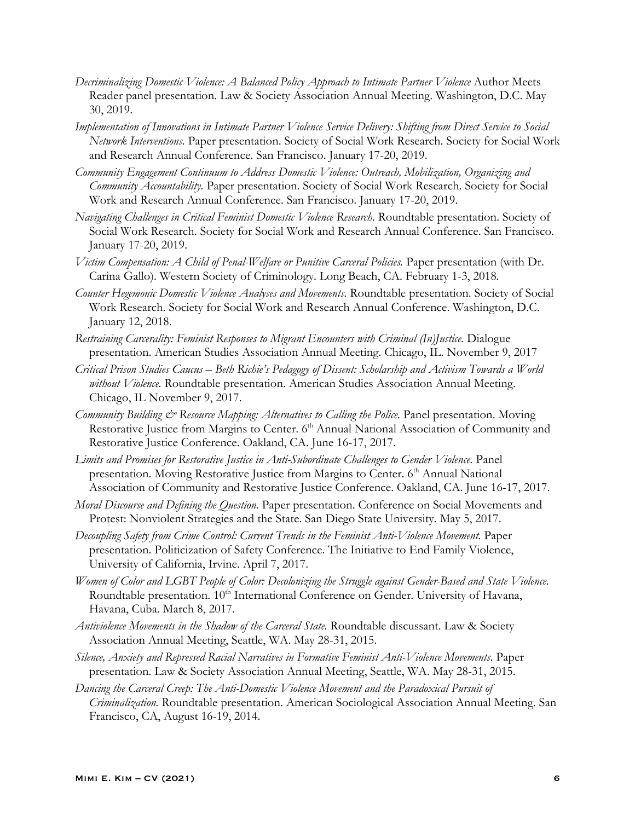- *Decriminalizing Domestic Violence: A Balanced Policy Approach to Intimate Partner Violence* Author Meets Reader panel presentation. Law & Society Association Annual Meeting. Washington, D.C. May 30, 2019.
- *Implementation of Innovations in Intimate Partner Violence Service Delivery: Shifting from Direct Service to Social Network Interventions.* Paper presentation. Society of Social Work Research. Society for Social Work and Research Annual Conference. San Francisco. January 17-20, 2019.
- *Community Engagement Continuum to Address Domestic Violence: Outreach, Mobilization, Organizing and Community Accountability.* Paper presentation. Society of Social Work Research. Society for Social Work and Research Annual Conference. San Francisco. January 17-20, 2019.
- *Navigating Challenges in Critical Feminist Domestic Violence Research.* Roundtable presentation. Society of Social Work Research. Society for Social Work and Research Annual Conference. San Francisco. January 17-20, 2019.
- *Victim Compensation: A Child of Penal-Welfare or Punitive Carceral Policies.* Paper presentation (with Dr. Carina Gallo). Western Society of Criminology. Long Beach, CA. February 1-3, 2018*.*
- *Counter Hegemonic Domestic Violence Analyses and Movements.* Roundtable presentation. Society of Social Work Research. Society for Social Work and Research Annual Conference. Washington, D.C. January 12, 2018.
- *Restraining Carcerality: Feminist Responses to Migrant Encounters with Criminal (In)Justice.* Dialogue presentation. American Studies Association Annual Meeting. Chicago, IL. November 9, 2017
- *Critical Prison Studies Caucus – Beth Richie's Pedagogy of Dissent: Scholarship and Activism Towards a World without Violence.* Roundtable presentation. American Studies Association Annual Meeting. Chicago, IL November 9, 2017.
- *Community Building*  $\mathcal{O}$  *Resource Mapping: Alternatives to Calling the Police.* Panel presentation. Moving Restorative Justice from Margins to Center. 6<sup>th</sup> Annual National Association of Community and Restorative Justice Conference. Oakland, CA. June 16-17, 2017.
- Limits and Promises for Restorative Justice in Anti-Subordinate Challenges to Gender Violence. Panel presentation. Moving Restorative Justice from Margins to Center. 6<sup>th</sup> Annual National Association of Community and Restorative Justice Conference. Oakland, CA. June 16-17, 2017.
- *Moral Discourse and Defining the Question.* Paper presentation. Conference on Social Movements and Protest: Nonviolent Strategies and the State. San Diego State University. May 5, 2017.
- *Decoupling Safety from Crime Control: Current Trends in the Feminist Anti-Violence Movement.* Paper presentation. Politicization of Safety Conference. The Initiative to End Family Violence, University of California, Irvine. April 7, 2017.
- *Women of Color and LGBT People of Color: Decolonizing the Struggle against Gender-Based and State Violence.*  Roundtable presentation. 10<sup>th</sup> International Conference on Gender. University of Havana, Havana, Cuba. March 8, 2017.
- *Antiviolence Movements in the Shadow of the Carceral State.* Roundtable discussant. Law & Society Association Annual Meeting, Seattle, WA. May 28-31, 2015.
- *Silence, Anxiety and Repressed Racial Narratives in Formative Feminist Anti-Violence Movements.* Paper presentation. Law & Society Association Annual Meeting, Seattle, WA. May 28-31, 2015.
- *Dancing the Carceral Creep: The Anti-Domestic Violence Movement and the Paradoxical Pursuit of Criminalization.* Roundtable presentation. American Sociological Association Annual Meeting. San Francisco, CA, August 16-19, 2014.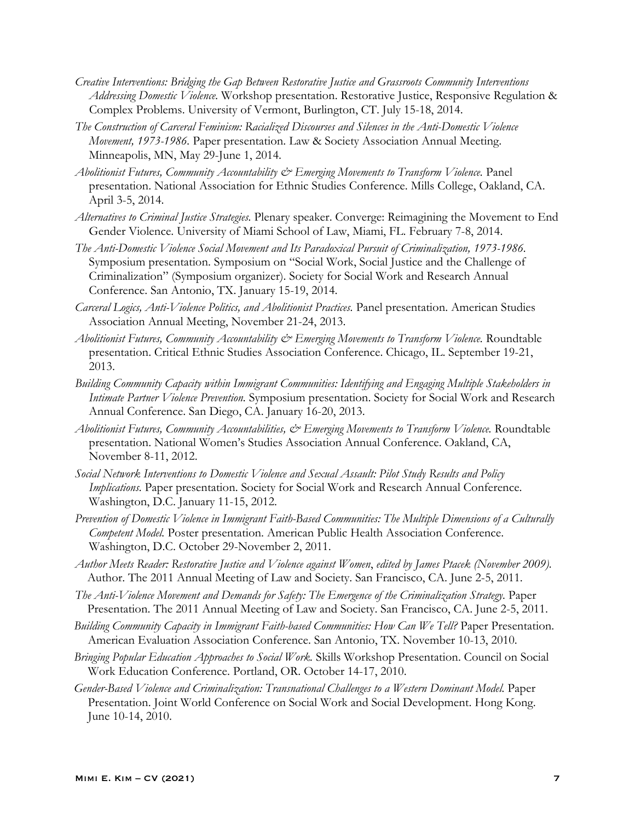- *Creative Interventions: Bridging the Gap Between Restorative Justice and Grassroots Community Interventions Addressing Domestic Violence.* Workshop presentation. Restorative Justice, Responsive Regulation & Complex Problems. University of Vermont, Burlington, CT. July 15-18, 2014.
- *The Construction of Carceral Feminism: Racialized Discourses and Silences in the Anti-Domestic Violence Movement, 1973-1986.* Paper presentation. Law & Society Association Annual Meeting. Minneapolis, MN, May 29-June 1, 2014.
- *Abolitionist Futures, Community Accountability & Emerging Movements to Transform Violence.* Panel presentation. National Association for Ethnic Studies Conference. Mills College, Oakland, CA. April 3-5, 2014.
- *Alternatives to Criminal Justice Strategies.* Plenary speaker. Converge: Reimagining the Movement to End Gender Violence. University of Miami School of Law, Miami, FL. February 7-8, 2014.
- *The Anti-Domestic Violence Social Movement and Its Paradoxical Pursuit of Criminalization, 1973-1986.*  Symposium presentation. Symposium on "Social Work, Social Justice and the Challenge of Criminalization" (Symposium organizer). Society for Social Work and Research Annual Conference. San Antonio, TX. January 15-19, 2014.
- *Carceral Logics, Anti-Violence Politics, and Abolitionist Practices.* Panel presentation. American Studies Association Annual Meeting, November 21-24, 2013.
- *Abolitionist Futures, Community Accountability & Emerging Movements to Transform Violence.* Roundtable presentation. Critical Ethnic Studies Association Conference. Chicago, IL. September 19-21, 2013.
- *Building Community Capacity within Immigrant Communities: Identifying and Engaging Multiple Stakeholders in Intimate Partner Violence Prevention.* Symposium presentation. Society for Social Work and Research Annual Conference. San Diego, CA. January 16-20, 2013.
- *Abolitionist Futures, Community Accountabilities, & Emerging Movements to Transform Violence.* Roundtable presentation. National Women's Studies Association Annual Conference. Oakland, CA, November 8-11, 2012.
- *Social Network Interventions to Domestic Violence and Sexual Assault: Pilot Study Results and Policy Implications.* Paper presentation. Society for Social Work and Research Annual Conference. Washington, D.C. January 11-15, 2012.
- *Prevention of Domestic Violence in Immigrant Faith-Based Communities: The Multiple Dimensions of a Culturally Competent Model.* Poster presentation. American Public Health Association Conference. Washington, D.C. October 29-November 2, 2011.
- *Author Meets Reader: Restorative Justice and Violence against Women*, *edited by James Ptacek (November 2009).* Author. The 2011 Annual Meeting of Law and Society. San Francisco, CA. June 2-5, 2011.
- *The Anti-Violence Movement and Demands for Safety: The Emergence of the Criminalization Strategy.* Paper Presentation. The 2011 Annual Meeting of Law and Society. San Francisco, CA. June 2-5, 2011.
- *Building Community Capacity in Immigrant Faith-based Communities: How Can We Tell?* Paper Presentation. American Evaluation Association Conference. San Antonio, TX. November 10-13, 2010.
- *Bringing Popular Education Approaches to Social Work.* Skills Workshop Presentation. Council on Social Work Education Conference. Portland, OR. October 14-17, 2010.
- *Gender-Based Violence and Criminalization: Transnational Challenges to a Western Dominant Model.* Paper Presentation. Joint World Conference on Social Work and Social Development. Hong Kong. June 10-14, 2010.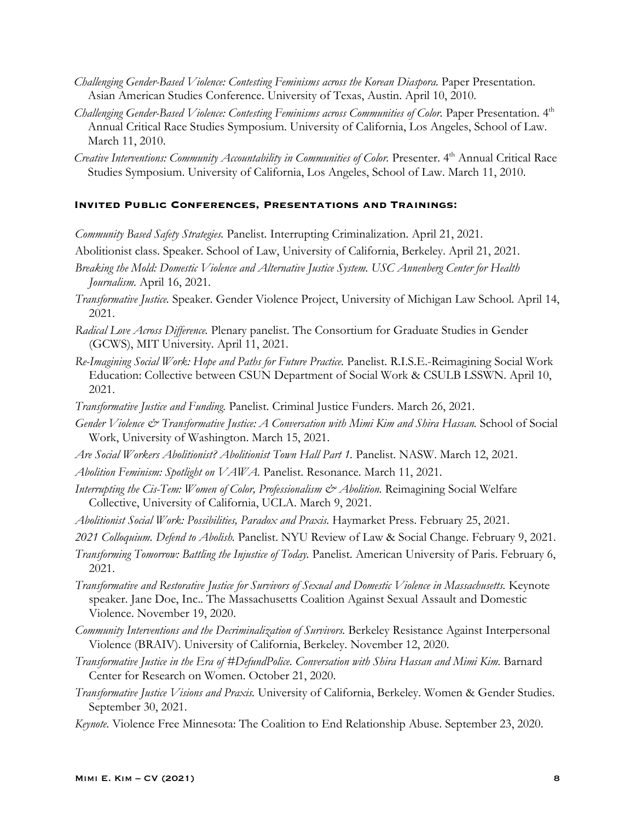- *Challenging Gender-Based Violence: Contesting Feminisms across the Korean Diaspora.* Paper Presentation. Asian American Studies Conference. University of Texas, Austin. April 10, 2010.
- *Challenging Gender-Based Violence: Contesting Feminisms across Communities of Color.* Paper Presentation. 4th Annual Critical Race Studies Symposium. University of California, Los Angeles, School of Law. March 11, 2010.
- *Creative Interventions: Community Accountability in Communities of Color.* Presenter. 4th Annual Critical Race Studies Symposium. University of California, Los Angeles, School of Law. March 11, 2010.

#### **Invited Public Conferences, Presentations and Trainings:**

*Community Based Safety Strategies.* Panelist. Interrupting Criminalization. April 21, 2021.

- Abolitionist class. Speaker. School of Law, University of California, Berkeley. April 21, 2021.
- *Breaking the Mold: Domestic Violence and Alternative Justice System. USC Annenberg Center for Health Journalism.* April 16, 2021.
- *Transformative Justice.* Speaker. Gender Violence Project, University of Michigan Law School*.* April 14, 2021.
- *Radical Love Across Difference.* Plenary panelist. The Consortium for Graduate Studies in Gender (GCWS), MIT University*.* April 11, 2021.
- *Re-Imagining Social Work: Hope and Paths for Future Practice.* Panelist. R.I.S.E.-Reimagining Social Work Education: Collective between CSUN Department of Social Work & CSULB LSSWN. April 10, 2021.
- *Transformative Justice and Funding.* Panelist. Criminal Justice Funders. March 26, 2021.
- *Gender Violence & Transformative Justice: A Conversation with Mimi Kim and Shira Hassan.* School of Social Work, University of Washington. March 15, 2021.
- *Are Social Workers Abolitionist? Abolitionist Town Hall Part 1.* Panelist. NASW. March 12, 2021.
- *Abolition Feminism: Spotlight on VAWA.* Panelist. Resonance. March 11, 2021.
- *Interrupting the Cis-Tem: Women of Color, Professionalism*  $\mathcal{C}^*$  *Abolition.* Reimagining Social Welfare Collective, University of California, UCLA. March 9, 2021.
- *Abolitionist Social Work: Possibilities, Paradox and Praxis.* Haymarket Press. February 25, 2021.
- *2021 Colloquium. Defend to Abolish.* Panelist. NYU Review of Law & Social Change. February 9, 2021.
- *Transforming Tomorrow: Battling the Injustice of Today. Panelist. American University of Paris. February 6,* 2021.
- *Transformative and Restorative Justice for Survivors of Sexual and Domestic Violence in Massachusetts.* Keynote speaker. Jane Doe, Inc.. The Massachusetts Coalition Against Sexual Assault and Domestic Violence. November 19, 2020.
- *Community Interventions and the Decriminalization of Survivors.* Berkeley Resistance Against Interpersonal Violence (BRAIV). University of California, Berkeley. November 12, 2020.
- *Transformative Justice in the Era of #DefundPolice. Conversation with Shira Hassan and Mimi Kim.* Barnard Center for Research on Women. October 21, 2020.
- *Transformative Justice Visions and Praxis.* University of California, Berkeley. Women & Gender Studies. September 30, 2021.
- *Keynote.* Violence Free Minnesota: The Coalition to End Relationship Abuse. September 23, 2020.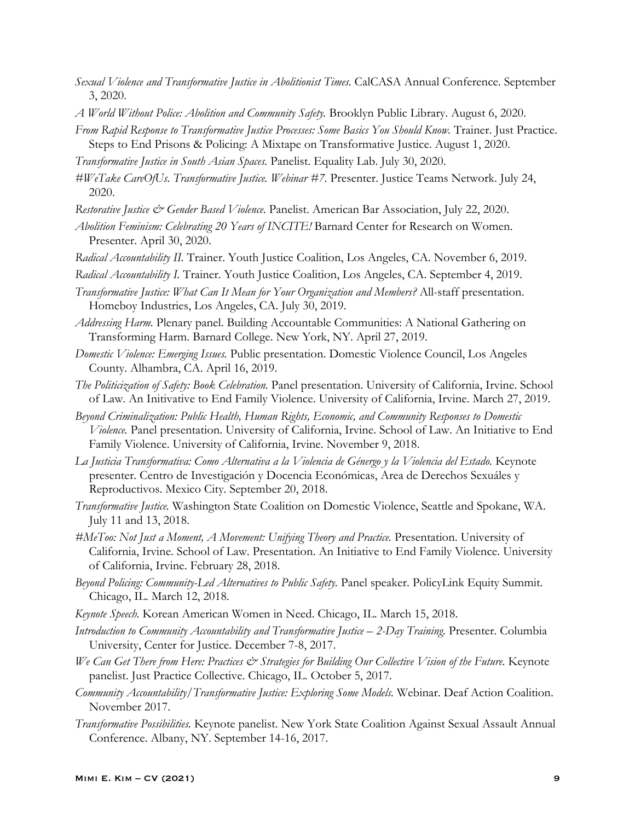- *Sexual Violence and Transformative Justice in Abolitionist Times.* CalCASA Annual Conference. September 3, 2020.
- *A World Without Police: Abolition and Community Safety.* Brooklyn Public Library. August 6, 2020.
- *From Rapid Response to Transformative Justice Processes: Some Basics You Should Know.* Trainer. Just Practice. Steps to End Prisons & Policing: A Mixtape on Transformative Justice. August 1, 2020.
- *Transformative Justice in South Asian Spaces.* Panelist. Equality Lab. July 30, 2020.
- *#WeTake CareOfUs. Transformative Justice. Webinar #7.* Presenter. Justice Teams Network. July 24, 2020.
- *Restorative Justice & Gender Based Violence.* Panelist. American Bar Association, July 22, 2020.
- *Abolition Feminism: Celebrating 20 Years of INCITE!* Barnard Center for Research on Women. Presenter. April 30, 2020.
- *Radical Accountability II.* Trainer. Youth Justice Coalition, Los Angeles, CA. November 6, 2019.
- *Radical Accountability I.* Trainer. Youth Justice Coalition, Los Angeles, CA. September 4, 2019.
- *Transformative Justice: What Can It Mean for Your Organization and Members?* All-staff presentation. Homeboy Industries, Los Angeles, CA. July 30, 2019.
- *Addressing Harm.* Plenary panel. Building Accountable Communities: A National Gathering on Transforming Harm. Barnard College. New York, NY. April 27, 2019.
- *Domestic Violence: Emerging Issues.* Public presentation. Domestic Violence Council, Los Angeles County. Alhambra, CA. April 16, 2019.
- *The Politicization of Safety: Book Celebration.* Panel presentation. University of California, Irvine. School of Law. An Initivative to End Family Violence. University of California, Irvine. March 27, 2019.
- *Beyond Criminalization: Public Health, Human Rights, Economic, and Community Responses to Domestic Violence.* Panel presentation. University of California, Irvine. School of Law. An Initiative to End Family Violence. University of California, Irvine. November 9, 2018.
- La Justicia Transformativa: Como Alternativa a la Violencia de Génergo y la Violencia del Estado. Keynote presenter. Centro de Investigación y Docencia Económicas, Area de Derechos Sexuáles y Reproductivos. Mexico City. September 20, 2018.
- *Transformative Justice.* Washington State Coalition on Domestic Violence, Seattle and Spokane, WA. July 11 and 13, 2018.
- *#MeToo: Not Just a Moment, A Movement: Unifying Theory and Practice.* Presentation. University of California, Irvine. School of Law. Presentation. An Initiative to End Family Violence. University of California, Irvine. February 28, 2018.
- *Beyond Policing: Community-Led Alternatives to Public Safety.* Panel speaker. PolicyLink Equity Summit. Chicago, IL. March 12, 2018.
- *Keynote Speech.* Korean American Women in Need. Chicago, IL. March 15, 2018.
- *Introduction to Community Accountability and Transformative Justice – 2-Day Training.* Presenter. Columbia University, Center for Justice. December 7-8, 2017.
- *We Can Get There from Here: Practices & Strategies for Building Our Collective Vision of the Future.* Keynote panelist. Just Practice Collective. Chicago, IL. October 5, 2017.
- *Community Accountability/Transformative Justice: Exploring Some Models.* Webinar. Deaf Action Coalition. November 2017.
- *Transformative Possibilities.* Keynote panelist. New York State Coalition Against Sexual Assault Annual Conference. Albany, NY. September 14-16, 2017.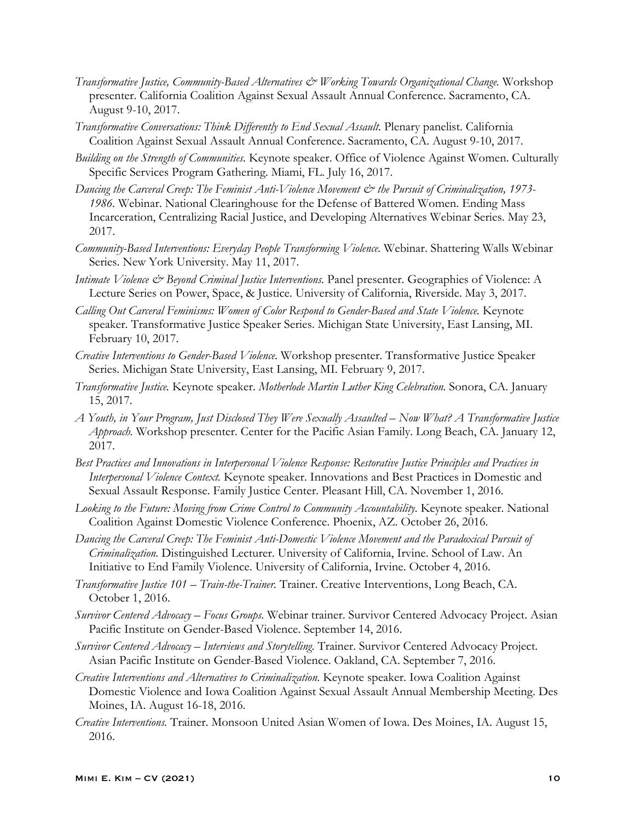- *Transformative Justice, Community-Based Alternatives & Working Towards Organizational Change.* Workshop presenter. California Coalition Against Sexual Assault Annual Conference. Sacramento, CA. August 9-10, 2017.
- *Transformative Conversations: Think Differently to End Sexual Assault.* Plenary panelist. California Coalition Against Sexual Assault Annual Conference. Sacramento, CA. August 9-10, 2017.
- *Building on the Strength of Communities.* Keynote speaker. Office of Violence Against Women. Culturally Specific Services Program Gathering. Miami, FL. July 16, 2017.
- *Dancing the Carceral Creep: The Feminist Anti-Violence Movement & the Pursuit of Criminalization, 1973- 1986.* Webinar. National Clearinghouse for the Defense of Battered Women. Ending Mass Incarceration, Centralizing Racial Justice, and Developing Alternatives Webinar Series. May 23, 2017.
- *Community-Based Interventions: Everyday People Transforming Violence.* Webinar. Shattering Walls Webinar Series. New York University. May 11, 2017.
- *Intimate Violence & Beyond Criminal Justice Interventions.* Panel presenter. Geographies of Violence: A Lecture Series on Power, Space, & Justice. University of California, Riverside. May 3, 2017.
- *Calling Out Carceral Feminisms: Women of Color Respond to Gender-Based and State Violence.* Keynote speaker. Transformative Justice Speaker Series. Michigan State University, East Lansing, MI. February 10, 2017.
- *Creative Interventions to Gender-Based Violence.* Workshop presenter. Transformative Justice Speaker Series. Michigan State University, East Lansing, MI. February 9, 2017.
- *Transformative Justice.* Keynote speaker. *Motherlode Martin Luther King Celebration.* Sonora, CA. January 15, 2017.
- *A Youth, in Your Program, Just Disclosed They Were Sexually Assaulted – Now What? A Transformative Justice Approach.* Workshop presenter. Center for the Pacific Asian Family. Long Beach, CA. January 12, 2017.
- *Best Practices and Innovations in Interpersonal Violence Response: Restorative Justice Principles and Practices in Interpersonal Violence Context.* Keynote speaker. Innovations and Best Practices in Domestic and Sexual Assault Response. Family Justice Center. Pleasant Hill, CA. November 1, 2016.
- *Looking to the Future: Moving from Crime Control to Community Accountability.* Keynote speaker. National Coalition Against Domestic Violence Conference. Phoenix, AZ. October 26, 2016.
- *Dancing the Carceral Creep: The Feminist Anti-Domestic Violence Movement and the Paradoxical Pursuit of Criminalization.* Distinguished Lecturer. University of California, Irvine. School of Law. An Initiative to End Family Violence. University of California, Irvine. October 4, 2016.
- *Transformative Justice 101 – Train-the-Trainer.* Trainer. Creative Interventions, Long Beach, CA. October 1, 2016.
- *Survivor Centered Advocacy – Focus Groups.* Webinar trainer. Survivor Centered Advocacy Project. Asian Pacific Institute on Gender-Based Violence. September 14, 2016.
- *Survivor Centered Advocacy – Interviews and Storytelling.* Trainer. Survivor Centered Advocacy Project. Asian Pacific Institute on Gender-Based Violence. Oakland, CA. September 7, 2016.
- *Creative Interventions and Alternatives to Criminalization.* Keynote speaker. Iowa Coalition Against Domestic Violence and Iowa Coalition Against Sexual Assault Annual Membership Meeting. Des Moines, IA. August 16-18, 2016.
- *Creative Interventions.* Trainer. Monsoon United Asian Women of Iowa. Des Moines, IA. August 15, 2016.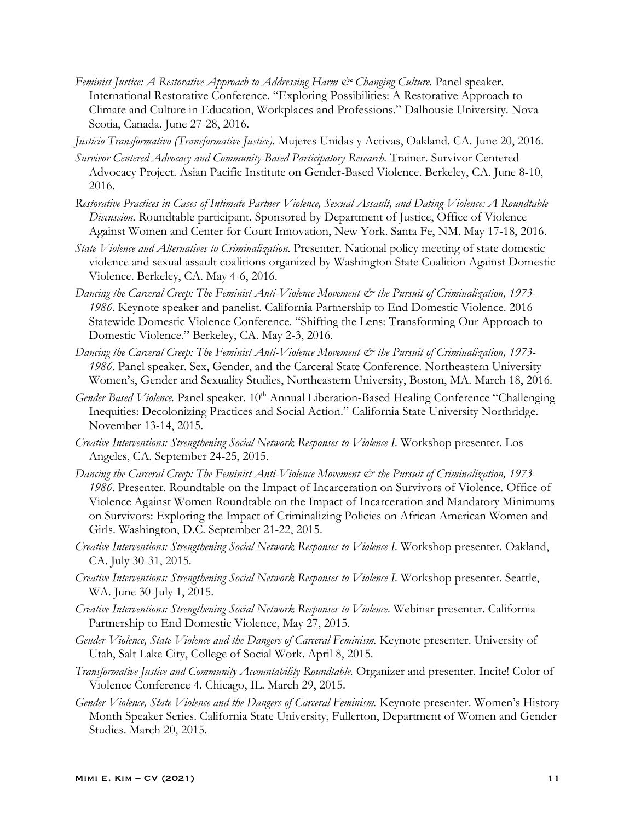- *Feminist Justice: A Restorative Approach to Addressing Harm & Changing Culture.* Panel speaker. International Restorative Conference. "Exploring Possibilities: A Restorative Approach to Climate and Culture in Education, Workplaces and Professions." Dalhousie University. Nova Scotia, Canada. June 27-28, 2016.
- *Justicio Transformativo (Transformative Justice).* Mujeres Unidas y Activas, Oakland. CA. June 20, 2016.
- *Survivor Centered Advocacy and Community-Based Participatory Research.* Trainer. Survivor Centered Advocacy Project. Asian Pacific Institute on Gender-Based Violence. Berkeley, CA. June 8-10, 2016.
- *Restorative Practices in Cases of Intimate Partner Violence, Sexual Assault, and Dating Violence: A Roundtable Discussion.* Roundtable participant. Sponsored by Department of Justice, Office of Violence Against Women and Center for Court Innovation, New York. Santa Fe, NM. May 17-18, 2016.
- *State Violence and Alternatives to Criminalization.* Presenter. National policy meeting of state domestic violence and sexual assault coalitions organized by Washington State Coalition Against Domestic Violence. Berkeley, CA. May 4-6, 2016.
- *Dancing the Carceral Creep: The Feminist Anti-Violence Movement & the Pursuit of Criminalization, 1973- 1986.* Keynote speaker and panelist. California Partnership to End Domestic Violence. 2016 Statewide Domestic Violence Conference. "Shifting the Lens: Transforming Our Approach to Domestic Violence." Berkeley, CA. May 2-3, 2016.
- *Dancing the Carceral Creep: The Feminist Anti-Violence Movement & the Pursuit of Criminalization, 1973- 1986.* Panel speaker. Sex, Gender, and the Carceral State Conference. Northeastern University Women's, Gender and Sexuality Studies, Northeastern University, Boston, MA. March 18, 2016.
- *Gender Based Violence.* Panel speaker. 10<sup>th</sup> Annual Liberation-Based Healing Conference "Challenging" Inequities: Decolonizing Practices and Social Action." California State University Northridge. November 13-14, 2015.
- *Creative Interventions: Strengthening Social Network Responses to Violence I.* Workshop presenter. Los Angeles, CA. September 24-25, 2015.
- *Dancing the Carceral Creep: The Feminist Anti-Violence Movement & the Pursuit of Criminalization, 1973- 1986.* Presenter. Roundtable on the Impact of Incarceration on Survivors of Violence. Office of Violence Against Women Roundtable on the Impact of Incarceration and Mandatory Minimums on Survivors: Exploring the Impact of Criminalizing Policies on African American Women and Girls. Washington, D.C. September 21-22, 2015.
- *Creative Interventions: Strengthening Social Network Responses to Violence I.* Workshop presenter. Oakland, CA. July 30-31, 2015.
- *Creative Interventions: Strengthening Social Network Responses to Violence I.* Workshop presenter. Seattle, WA. June 30-July 1, 2015.
- *Creative Interventions: Strengthening Social Network Responses to Violence.* Webinar presenter. California Partnership to End Domestic Violence, May 27, 2015.
- *Gender Violence, State Violence and the Dangers of Carceral Feminism.* Keynote presenter. University of Utah, Salt Lake City, College of Social Work. April 8, 2015.
- *Transformative Justice and Community Accountability Roundtable.* Organizer and presenter. Incite! Color of Violence Conference 4. Chicago, IL. March 29, 2015.
- *Gender Violence, State Violence and the Dangers of Carceral Feminism.* Keynote presenter. Women's History Month Speaker Series. California State University, Fullerton, Department of Women and Gender Studies. March 20, 2015.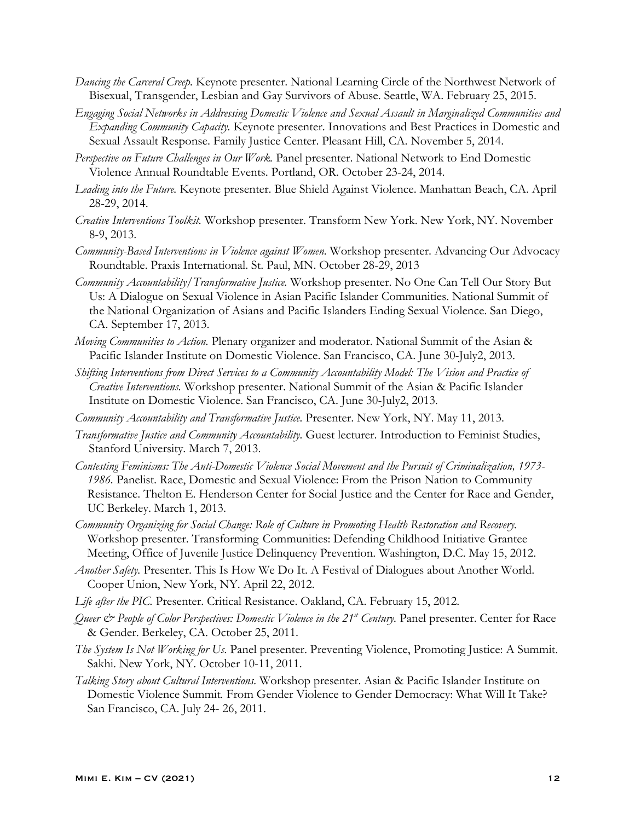- *Dancing the Carceral Creep.* Keynote presenter. National Learning Circle of the Northwest Network of Bisexual, Transgender, Lesbian and Gay Survivors of Abuse. Seattle, WA. February 25, 2015.
- *Engaging Social Networks in Addressing Domestic Violence and Sexual Assault in Marginalized Communities and Expanding Community Capacity.* Keynote presenter. Innovations and Best Practices in Domestic and Sexual Assault Response. Family Justice Center. Pleasant Hill, CA. November 5, 2014.
- *Perspective on Future Challenges in Our Work.* Panel presenter. National Network to End Domestic Violence Annual Roundtable Events. Portland, OR. October 23-24, 2014.
- *Leading into the Future.* Keynote presenter. Blue Shield Against Violence. Manhattan Beach, CA. April 28-29, 2014.
- *Creative Interventions Toolkit.* Workshop presenter. Transform New York. New York, NY. November 8-9, 2013.
- *Community-Based Interventions in Violence against Women.* Workshop presenter. Advancing Our Advocacy Roundtable. Praxis International. St. Paul, MN. October 28-29, 2013
- *Community Accountability/Transformative Justice.* Workshop presenter. No One Can Tell Our Story But Us: A Dialogue on Sexual Violence in Asian Pacific Islander Communities. National Summit of the National Organization of Asians and Pacific Islanders Ending Sexual Violence. San Diego, CA. September 17, 2013.
- *Moving Communities to Action.* Plenary organizer and moderator. National Summit of the Asian & Pacific Islander Institute on Domestic Violence. San Francisco, CA. June 30-July2, 2013.
- *Shifting Interventions from Direct Services to a Community Accountability Model: The Vision and Practice of Creative Interventions.* Workshop presenter. National Summit of the Asian & Pacific Islander Institute on Domestic Violence. San Francisco, CA. June 30-July2, 2013.
- *Community Accountability and Transformative Justice.* Presenter. New York, NY. May 11, 2013.
- *Transformative Justice and Community Accountability.* Guest lecturer. Introduction to Feminist Studies, Stanford University. March 7, 2013.
- *Contesting Feminisms: The Anti-Domestic Violence Social Movement and the Pursuit of Criminalization, 1973- 1986.* Panelist. Race, Domestic and Sexual Violence: From the Prison Nation to Community Resistance. Thelton E. Henderson Center for Social Justice and the Center for Race and Gender, UC Berkeley. March 1, 2013.
- *Community Organizing for Social Change: Role of Culture in Promoting Health Restoration and Recovery.*  Workshop presenter. Transforming Communities: Defending Childhood Initiative Grantee Meeting, Office of Juvenile Justice Delinquency Prevention. Washington, D.C. May 15, 2012.
- *Another Safety.* Presenter. This Is How We Do It. A Festival of Dialogues about Another World. Cooper Union, New York, NY. April 22, 2012.
- *Life after the PIC.* Presenter. Critical Resistance. Oakland, CA. February 15, 2012.
- *Queer & People of Color Perspectives: Domestic Violence in the 21<sup>st</sup> Century. Panel presenter. Center for Race* & Gender. Berkeley, CA. October 25, 2011.
- *The System Is Not Working for Us.* Panel presenter. Preventing Violence, Promoting Justice: A Summit. Sakhi. New York, NY. October 10-11, 2011.
- *Talking Story about Cultural Interventions.* Workshop presenter. Asian & Pacific Islander Institute on Domestic Violence Summit*.* From Gender Violence to Gender Democracy: What Will It Take? San Francisco, CA. July 24- 26, 2011.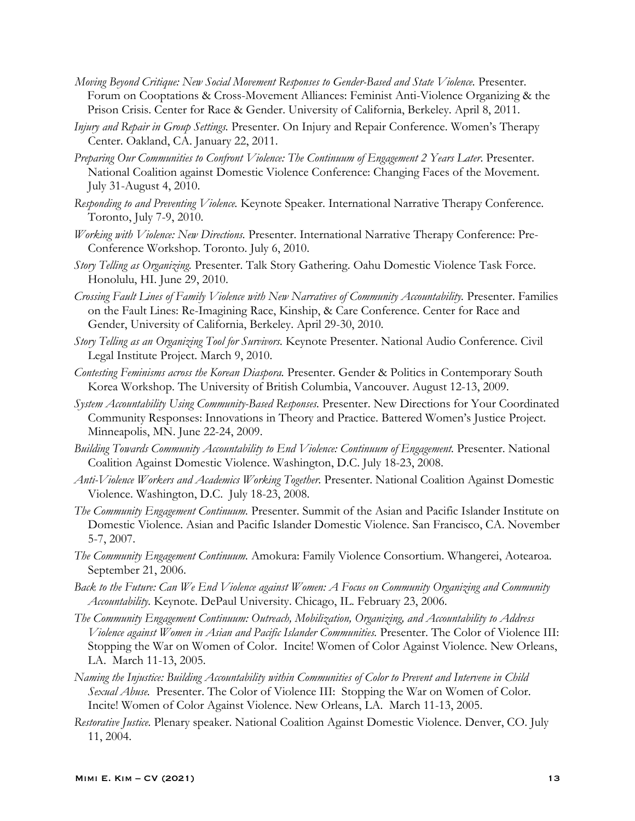- *Moving Beyond Critique: New Social Movement Responses to Gender-Based and State Violence.* Presenter. Forum on Cooptations & Cross-Movement Alliances: Feminist Anti-Violence Organizing & the Prison Crisis. Center for Race & Gender. University of California, Berkeley. April 8, 2011.
- *Injury and Repair in Group Settings.* Presenter. On Injury and Repair Conference. Women's Therapy Center. Oakland, CA. January 22, 2011.
- *Preparing Our Communities to Confront Violence: The Continuum of Engagement 2 Years Later*. Presenter. National Coalition against Domestic Violence Conference: Changing Faces of the Movement. July 31-August 4, 2010.
- *Responding to and Preventing Violence.* Keynote Speaker. International Narrative Therapy Conference. Toronto, July 7-9, 2010.
- *Working with Violence: New Directions.* Presenter. International Narrative Therapy Conference: Pre-Conference Workshop. Toronto. July 6, 2010.
- *Story Telling as Organizing.* Presenter. Talk Story Gathering. Oahu Domestic Violence Task Force. Honolulu, HI. June 29, 2010.
- *Crossing Fault Lines of Family Violence with New Narratives of Community Accountability.* Presenter. Families on the Fault Lines: Re-Imagining Race, Kinship, & Care Conference. Center for Race and Gender, University of California, Berkeley. April 29-30, 2010.
- *Story Telling as an Organizing Tool for Survivors.* Keynote Presenter. National Audio Conference. Civil Legal Institute Project. March 9, 2010.
- *Contesting Feminisms across the Korean Diaspora.* Presenter. Gender & Politics in Contemporary South Korea Workshop. The University of British Columbia, Vancouver. August 12-13, 2009.
- *System Accountability Using Community-Based Responses.* Presenter. New Directions for Your Coordinated Community Responses: Innovations in Theory and Practice. Battered Women's Justice Project. Minneapolis, MN. June 22-24, 2009.
- *Building Towards Community Accountability to End Violence: Continuum of Engagement.* Presenter. National Coalition Against Domestic Violence. Washington, D.C. July 18-23, 2008.
- *Anti-Violence Workers and Academics Working Together.* Presenter. National Coalition Against Domestic Violence. Washington, D.C. July 18-23, 2008.
- *The Community Engagement Continuum.* Presenter. Summit of the Asian and Pacific Islander Institute on Domestic Violence. Asian and Pacific Islander Domestic Violence. San Francisco, CA. November 5-7, 2007.
- *The Community Engagement Continuum.* Amokura: Family Violence Consortium. Whangerei, Aotearoa. September 21, 2006.
- *Back to the Future: Can We End Violence against Women: A Focus on Community Organizing and Community Accountability.* Keynote. DePaul University. Chicago, IL. February 23, 2006.
- *The Community Engagement Continuum: Outreach, Mobilization, Organizing, and Accountability to Address Violence against Women in Asian and Pacific Islander Communities.* Presenter. The Color of Violence III: Stopping the War on Women of Color. Incite! Women of Color Against Violence. New Orleans, LA. March 11-13, 2005.
- *Naming the Injustice: Building Accountability within Communities of Color to Prevent and Intervene in Child Sexual Abuse.* Presenter. The Color of Violence III: Stopping the War on Women of Color. Incite! Women of Color Against Violence. New Orleans, LA. March 11-13, 2005.
- *Restorative Justice.* Plenary speaker. National Coalition Against Domestic Violence. Denver, CO. July 11, 2004.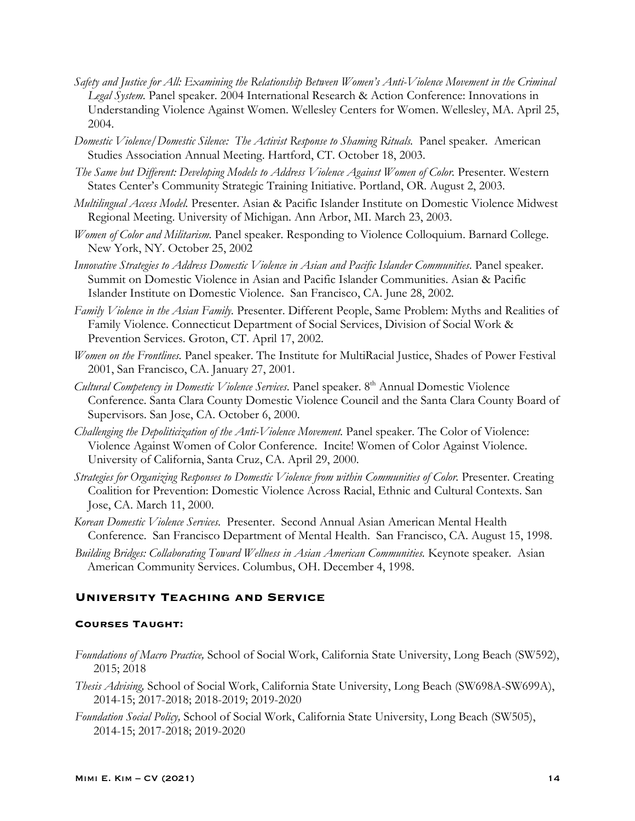- *Safety and Justice for All: Examining the Relationship Between Women's Anti-Violence Movement in the Criminal Legal System.* Panel speaker. 2004 International Research & Action Conference: Innovations in Understanding Violence Against Women. Wellesley Centers for Women. Wellesley, MA. April 25, 2004.
- *Domestic Violence/Domestic Silence: The Activist Response to Shaming Rituals.* Panel speaker. American Studies Association Annual Meeting. Hartford, CT. October 18, 2003.
- *The Same but Different: Developing Models to Address Violence Against Women of Color.* Presenter. Western States Center's Community Strategic Training Initiative. Portland, OR. August 2, 2003.
- *Multilingual Access Model.* Presenter. Asian & Pacific Islander Institute on Domestic Violence Midwest Regional Meeting. University of Michigan. Ann Arbor, MI. March 23, 2003.
- *Women of Color and Militarism.* Panel speaker. Responding to Violence Colloquium. Barnard College. New York, NY. October 25, 2002
- *Innovative Strategies to Address Domestic Violence in Asian and Pacific Islander Communities*. Panel speaker. Summit on Domestic Violence in Asian and Pacific Islander Communities. Asian & Pacific Islander Institute on Domestic Violence. San Francisco, CA. June 28, 2002.
- *Family Violence in the Asian Family.* Presenter. Different People, Same Problem: Myths and Realities of Family Violence. Connecticut Department of Social Services, Division of Social Work & Prevention Services. Groton, CT. April 17, 2002.
- *Women on the Frontlines.* Panel speaker. The Institute for MultiRacial Justice, Shades of Power Festival 2001, San Francisco, CA. January 27, 2001.
- *Cultural Competency in Domestic Violence Services*. Panel speaker. 8th Annual Domestic Violence Conference. Santa Clara County Domestic Violence Council and the Santa Clara County Board of Supervisors. San Jose, CA. October 6, 2000.
- *Challenging the Depoliticization of the Anti-Violence Movement.* Panel speaker. The Color of Violence: Violence Against Women of Color Conference. Incite! Women of Color Against Violence. University of California, Santa Cruz, CA. April 29, 2000.
- *Strategies for Organizing Responses to Domestic Violence from within Communities of Color.* Presenter. Creating Coalition for Prevention: Domestic Violence Across Racial, Ethnic and Cultural Contexts. San Jose, CA. March 11, 2000.
- *Korean Domestic Violence Services*. Presenter. Second Annual Asian American Mental Health Conference. San Francisco Department of Mental Health. San Francisco, CA. August 15, 1998.
- *Building Bridges: Collaborating Toward Wellness in Asian American Communities.* Keynote speaker. Asian American Community Services. Columbus, OH. December 4, 1998.

## **University Teaching and Service**

#### **Courses Taught:**

- *Foundations of Macro Practice,* School of Social Work, California State University, Long Beach (SW592), 2015; 2018
- *Thesis Advising,* School of Social Work, California State University, Long Beach (SW698A-SW699A), 2014-15; 2017-2018; 2018-2019; 2019-2020
- *Foundation Social Policy,* School of Social Work, California State University, Long Beach (SW505), 2014-15; 2017-2018; 2019-2020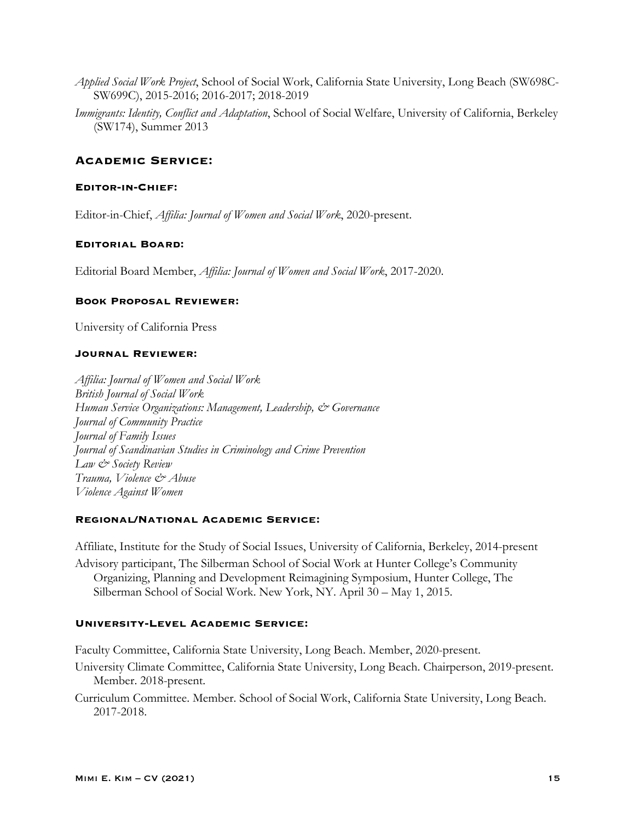- *Applied Social Work Project*, School of Social Work, California State University, Long Beach (SW698C-SW699C), 2015-2016; 2016-2017; 2018-2019
- *Immigrants: Identity, Conflict and Adaptation*, School of Social Welfare, University of California, Berkeley (SW174), Summer 2013

# **Academic Service:**

# **Editor-in-Chief:**

Editor-in-Chief, *Affilia: Journal of Women and Social Work*, 2020-present.

#### **Editorial Board:**

Editorial Board Member, *Affilia: Journal of Women and Social Work*, 2017-2020.

### **Book Proposal Reviewer:**

University of California Press

### **Journal Reviewer:**

*Affilia: Journal of Women and Social Work British Journal of Social Work Human Service Organizations: Management, Leadership, & Governance Journal of Community Practice Journal of Family Issues Journal of Scandinavian Studies in Criminology and Crime Prevention Law & Society Review Trauma, Violence & Abuse Violence Against Women*

## **Regional/National Academic Service:**

Affiliate, Institute for the Study of Social Issues, University of California, Berkeley, 2014-present

Advisory participant, The Silberman School of Social Work at Hunter College's Community Organizing, Planning and Development Reimagining Symposium, Hunter College, The Silberman School of Social Work. New York, NY. April 30 – May 1, 2015.

#### **University-Level Academic Service:**

Faculty Committee, California State University, Long Beach. Member, 2020-present.

- University Climate Committee, California State University, Long Beach. Chairperson, 2019-present. Member. 2018-present.
- Curriculum Committee. Member. School of Social Work, California State University, Long Beach. 2017-2018.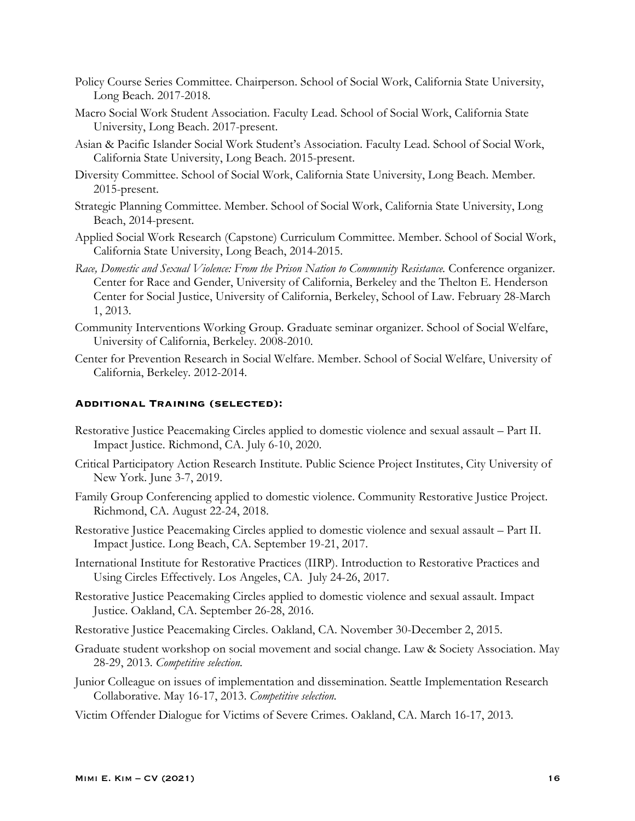- Policy Course Series Committee. Chairperson. School of Social Work, California State University, Long Beach. 2017-2018.
- Macro Social Work Student Association. Faculty Lead. School of Social Work, California State University, Long Beach. 2017-present.
- Asian & Pacific Islander Social Work Student's Association. Faculty Lead. School of Social Work, California State University, Long Beach. 2015-present.
- Diversity Committee. School of Social Work, California State University, Long Beach. Member. 2015-present.
- Strategic Planning Committee. Member. School of Social Work, California State University, Long Beach, 2014-present.
- Applied Social Work Research (Capstone) Curriculum Committee. Member. School of Social Work, California State University, Long Beach, 2014-2015.
- Race, Domestic and Sexual Violence: From the Prison Nation to Community Resistance. Conference organizer. Center for Race and Gender, University of California, Berkeley and the Thelton E. Henderson Center for Social Justice, University of California, Berkeley, School of Law. February 28-March 1, 2013.
- Community Interventions Working Group. Graduate seminar organizer. School of Social Welfare, University of California, Berkeley. 2008-2010.
- Center for Prevention Research in Social Welfare. Member. School of Social Welfare, University of California, Berkeley. 2012-2014.

## **Additional Training (selected):**

- Restorative Justice Peacemaking Circles applied to domestic violence and sexual assault Part II. Impact Justice. Richmond, CA. July 6-10, 2020.
- Critical Participatory Action Research Institute. Public Science Project Institutes, City University of New York. June 3-7, 2019.
- Family Group Conferencing applied to domestic violence. Community Restorative Justice Project. Richmond, CA. August 22-24, 2018.
- Restorative Justice Peacemaking Circles applied to domestic violence and sexual assault Part II. Impact Justice. Long Beach, CA. September 19-21, 2017.
- International Institute for Restorative Practices (IIRP). Introduction to Restorative Practices and Using Circles Effectively. Los Angeles, CA. July 24-26, 2017.
- Restorative Justice Peacemaking Circles applied to domestic violence and sexual assault. Impact Justice. Oakland, CA. September 26-28, 2016.
- Restorative Justice Peacemaking Circles. Oakland, CA. November 30-December 2, 2015.
- Graduate student workshop on social movement and social change. Law & Society Association. May 28-29, 2013. *Competitive selection.*
- Junior Colleague on issues of implementation and dissemination. Seattle Implementation Research Collaborative. May 16-17, 2013. *Competitive selection.*
- Victim Offender Dialogue for Victims of Severe Crimes. Oakland, CA. March 16-17, 2013.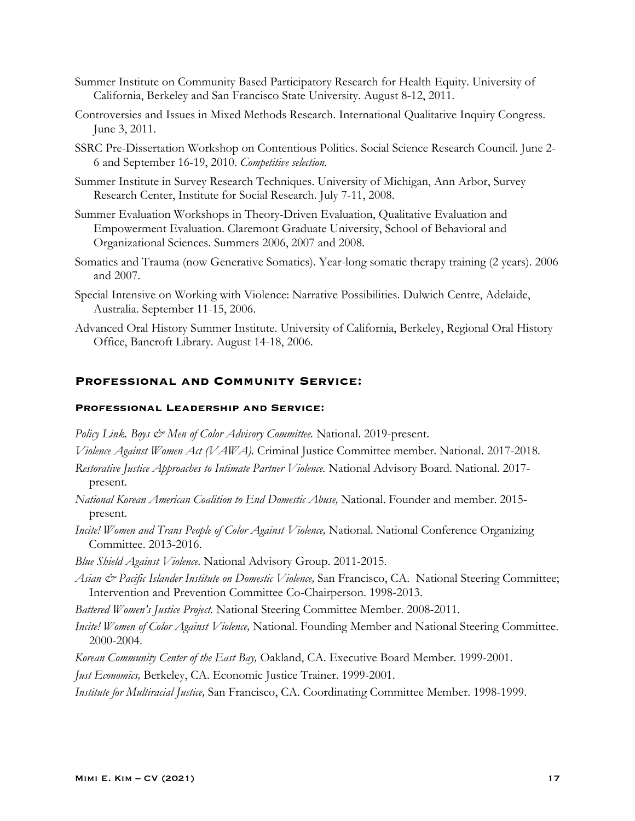- Summer Institute on Community Based Participatory Research for Health Equity. University of California, Berkeley and San Francisco State University. August 8-12, 2011.
- Controversies and Issues in Mixed Methods Research. International Qualitative Inquiry Congress. June 3, 2011.
- SSRC Pre-Dissertation Workshop on Contentious Politics. Social Science Research Council. June 2- 6 and September 16-19, 2010. *Competitive selection.*
- Summer Institute in Survey Research Techniques. University of Michigan, Ann Arbor, Survey Research Center, Institute for Social Research. July 7-11, 2008.
- Summer Evaluation Workshops in Theory-Driven Evaluation, Qualitative Evaluation and Empowerment Evaluation. Claremont Graduate University, School of Behavioral and Organizational Sciences. Summers 2006, 2007 and 2008.
- Somatics and Trauma (now Generative Somatics). Year-long somatic therapy training (2 years). 2006 and 2007.
- Special Intensive on Working with Violence: Narrative Possibilities. Dulwich Centre, Adelaide, Australia. September 11-15, 2006.
- Advanced Oral History Summer Institute. University of California, Berkeley, Regional Oral History Office, Bancroft Library. August 14-18, 2006.

### **Professional and Community Service:**

#### **Professional Leadership and Service:**

- Policy Link. Boys & Men of Color Advisory Committee. National. 2019-present.
- *Violence Against Women Act (VAWA).* Criminal Justice Committee member. National. 2017-2018.
- *Restorative Justice Approaches to Intimate Partner Violence.* National Advisory Board. National. 2017 present.
- *National Korean American Coalition to End Domestic Abuse,* National. Founder and member. 2015 present.
- *Incite! Women and Trans People of Color Against Violence, National. National Conference Organizing* Committee. 2013-2016.
- *Blue Shield Against Violence*. National Advisory Group. 2011-2015.
- *Asian & Pacific Islander Institute on Domestic Violence,* San Francisco, CA. National Steering Committee; Intervention and Prevention Committee Co-Chairperson. 1998-2013.
- *Battered Women's Justice Project.* National Steering Committee Member. 2008-2011.
- *Incite! Women of Color Against Violence,* National. Founding Member and National Steering Committee. 2000-2004.
- *Korean Community Center of the East Bay,* Oakland, CA. Executive Board Member. 1999-2001.
- *Just Economics,* Berkeley, CA. Economic Justice Trainer. 1999-2001.
- *Institute for Multiracial Justice,* San Francisco, CA. Coordinating Committee Member. 1998-1999.